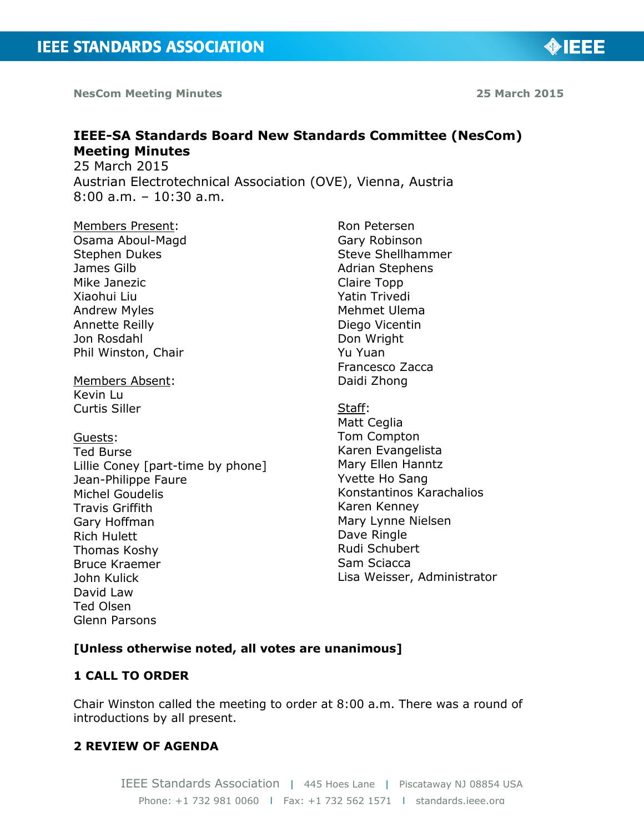**NesCom Meeting Minutes 25 March 2015**

**IEEE-SA Standards Board New Standards Committee (NesCom) Meeting Minutes**

25 March 2015 Austrian Electrotechnical Association (OVE), Vienna, Austria 8:00 a.m. – 10:30 a.m.

Members Present: Osama Aboul-Magd Stephen Dukes James Gilb Mike Janezic Xiaohui Liu Andrew Myles Annette Reilly Jon Rosdahl Phil Winston, Chair

Members Absent: Kevin Lu Curtis Siller

Guests: Ted Burse Lillie Coney [part-time by phone] Jean-Philippe Faure Michel Goudelis Travis Griffith Gary Hoffman Rich Hulett Thomas Koshy Bruce Kraemer John Kulick David Law Ted Olsen Glenn Parsons

Ron Petersen Gary Robinson Steve Shellhammer Adrian Stephens Claire Topp Yatin Trivedi Mehmet Ulema Diego Vicentin Don Wright Yu Yuan Francesco Zacca Daidi Zhong

Staff: Matt Ceglia Tom Compton Karen Evangelista Mary Ellen Hanntz Yvette Ho Sang Konstantinos Karachalios Karen Kenney Mary Lynne Nielsen Dave Ringle Rudi Schubert Sam Sciacca Lisa Weisser, Administrator

# **[Unless otherwise noted, all votes are unanimous]**

# **1 CALL TO ORDER**

Chair Winston called the meeting to order at 8:00 a.m. There was a round of introductions by all present.

# **2 REVIEW OF AGENDA**

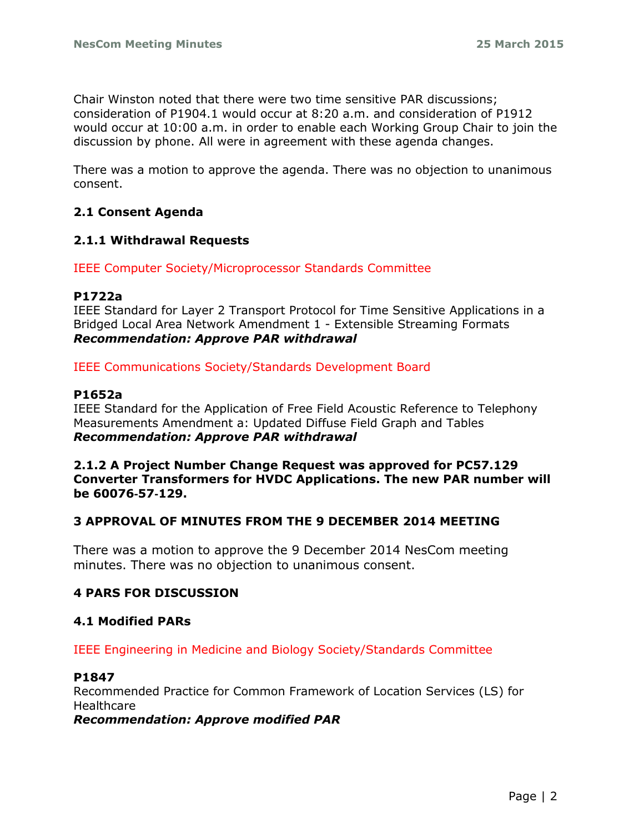Chair Winston noted that there were two time sensitive PAR discussions; consideration of P1904.1 would occur at 8:20 a.m. and consideration of P1912 would occur at 10:00 a.m. in order to enable each Working Group Chair to join the discussion by phone. All were in agreement with these agenda changes.

There was a motion to approve the agenda. There was no objection to unanimous consent.

# **2.1 Consent Agenda**

### **2.1.1 Withdrawal Requests**

IEEE Computer Society/Microprocessor Standards Committee

#### **P1722a**

IEEE Standard for Layer 2 Transport Protocol for Time Sensitive Applications in a Bridged Local Area Network Amendment 1 - Extensible Streaming Formats *Recommendation: Approve PAR withdrawal*

IEEE Communications Society/Standards Development Board

#### **P1652a**

IEEE Standard for the Application of Free Field Acoustic Reference to Telephony Measurements Amendment a: Updated Diffuse Field Graph and Tables *Recommendation: Approve PAR withdrawal*

### **2.1.2 A Project Number Change Request was approved for PC57.129 Converter Transformers for HVDC Applications. The new PAR number will be 60076**‐**57**‐**129.**

### **3 APPROVAL OF MINUTES FROM THE 9 DECEMBER 2014 MEETING**

There was a motion to approve the 9 December 2014 NesCom meeting minutes. There was no objection to unanimous consent.

### **4 PARS FOR DISCUSSION**

### **4.1 Modified PARs**

#### IEEE Engineering in Medicine and Biology Society/Standards Committee

#### **P1847**

Recommended Practice for Common Framework of Location Services (LS) for **Healthcare** 

*Recommendation: Approve modified PAR*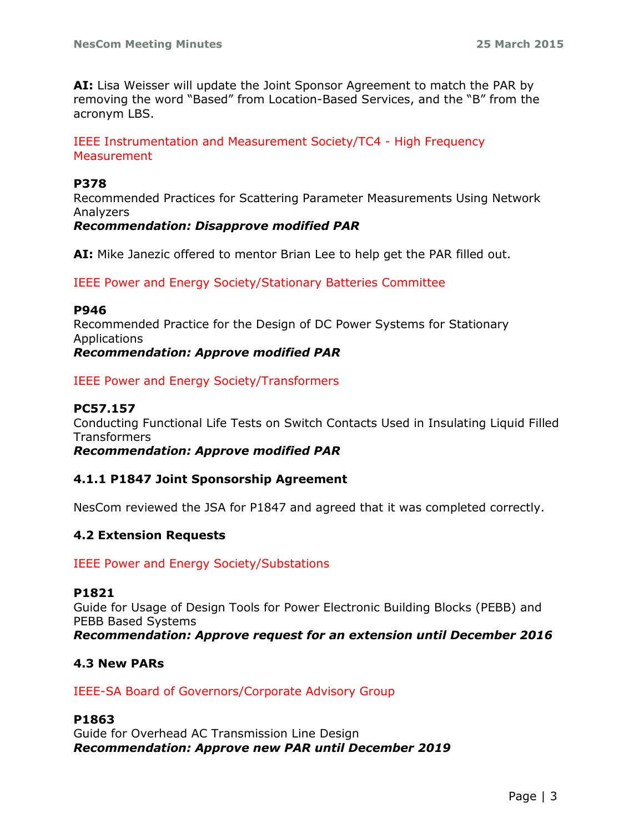**AI:** Lisa Weisser will update the Joint Sponsor Agreement to match the PAR by removing the word "Based" from Location-Based Services, and the "B" from the acronym LBS.

IEEE Instrumentation and Measurement Society/TC4 - High Frequency **Measurement** 

#### **P378**

Recommended Practices for Scattering Parameter Measurements Using Network Analyzers

### *Recommendation: Disapprove modified PAR*

**AI:** Mike Janezic offered to mentor Brian Lee to help get the PAR filled out.

IEEE Power and Energy Society/Stationary Batteries Committee

#### **P946**

Recommended Practice for the Design of DC Power Systems for Stationary Applications *Recommendation: Approve modified PAR*

IEEE Power and Energy Society/Transformers

### **PC57.157**

Conducting Functional Life Tests on Switch Contacts Used in Insulating Liquid Filled **Transformers** 

*Recommendation: Approve modified PAR* 

### **4.1.1 P1847 Joint Sponsorship Agreement**

NesCom reviewed the JSA for P1847 and agreed that it was completed correctly.

### **4.2 Extension Requests**

#### IEEE Power and Energy Society/Substations

#### **P1821**

Guide for Usage of Design Tools for Power Electronic Building Blocks (PEBB) and PEBB Based Systems *Recommendation: Approve request for an extension until December 2016*

**4.3 New PARs**

#### IEEE-SA Board of Governors/Corporate Advisory Group

#### **P1863**

Guide for Overhead AC Transmission Line Design *Recommendation: Approve new PAR until December 2019*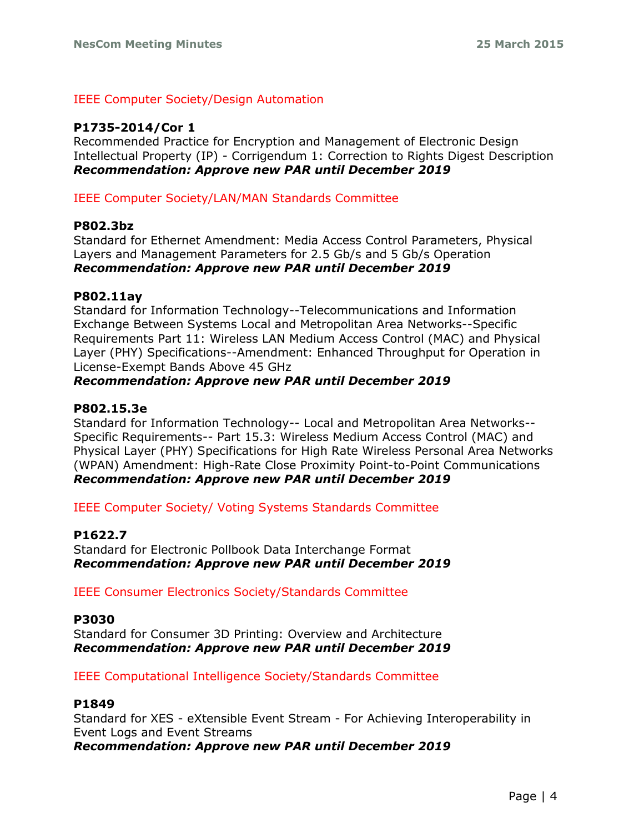## IEEE Computer Society/Design Automation

# **P1735-2014/Cor 1**

Recommended Practice for Encryption and Management of Electronic Design Intellectual Property (IP) - Corrigendum 1: Correction to Rights Digest Description *Recommendation: Approve new PAR until December 2019*

IEEE Computer Society/LAN/MAN Standards Committee

### **P802.3bz**

Standard for Ethernet Amendment: Media Access Control Parameters, Physical Layers and Management Parameters for 2.5 Gb/s and 5 Gb/s Operation *Recommendation: Approve new PAR until December 2019*

### **P802.11ay**

Standard for Information Technology--Telecommunications and Information Exchange Between Systems Local and Metropolitan Area Networks--Specific Requirements Part 11: Wireless LAN Medium Access Control (MAC) and Physical Layer (PHY) Specifications--Amendment: Enhanced Throughput for Operation in License-Exempt Bands Above 45 GHz

### *Recommendation: Approve new PAR until December 2019*

# **P802.15.3e**

Standard for Information Technology-- Local and Metropolitan Area Networks-- Specific Requirements-- Part 15.3: Wireless Medium Access Control (MAC) and Physical Layer (PHY) Specifications for High Rate Wireless Personal Area Networks (WPAN) Amendment: High-Rate Close Proximity Point-to-Point Communications *Recommendation: Approve new PAR until December 2019*

IEEE Computer Society/ Voting Systems Standards Committee

# **P1622.7**

Standard for Electronic Pollbook Data Interchange Format *Recommendation: Approve new PAR until December 2019*

IEEE Consumer Electronics Society/Standards Committee

### **P3030**

Standard for Consumer 3D Printing: Overview and Architecture *Recommendation: Approve new PAR until December 2019*

IEEE Computational Intelligence Society/Standards Committee

### **P1849**

Standard for XES - eXtensible Event Stream - For Achieving Interoperability in Event Logs and Event Streams *Recommendation: Approve new PAR until December 2019*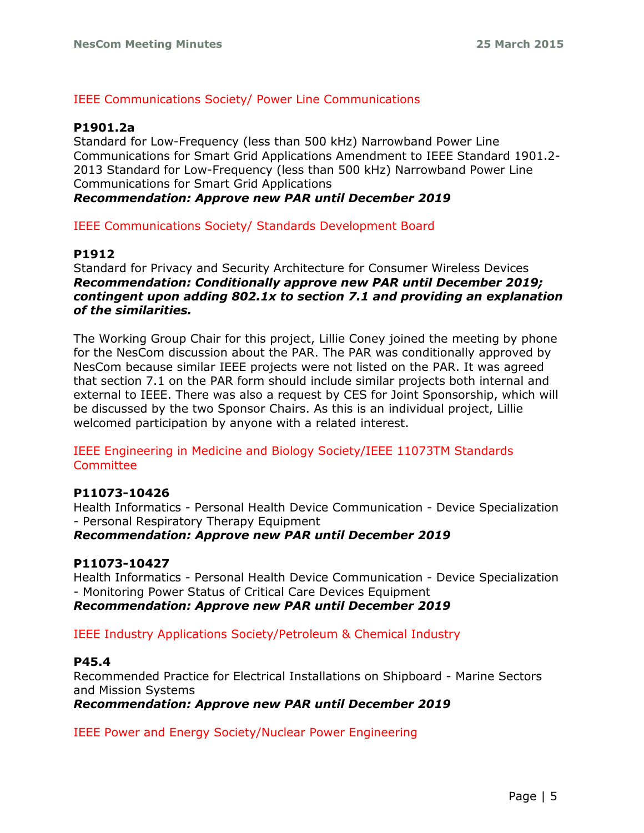### IEEE Communications Society/ Power Line Communications

## **P1901.2a**

Standard for Low-Frequency (less than 500 kHz) Narrowband Power Line Communications for Smart Grid Applications Amendment to IEEE Standard 1901.2- 2013 Standard for Low-Frequency (less than 500 kHz) Narrowband Power Line Communications for Smart Grid Applications

*Recommendation: Approve new PAR until December 2019*

IEEE Communications Society/ Standards Development Board

## **P1912**

Standard for Privacy and Security Architecture for Consumer Wireless Devices *Recommendation: Conditionally approve new PAR until December 2019; contingent upon adding 802.1x to section 7.1 and providing an explanation of the similarities.*

The Working Group Chair for this project, Lillie Coney joined the meeting by phone for the NesCom discussion about the PAR. The PAR was conditionally approved by NesCom because similar IEEE projects were not listed on the PAR. It was agreed that section 7.1 on the PAR form should include similar projects both internal and external to IEEE. There was also a request by CES for Joint Sponsorship, which will be discussed by the two Sponsor Chairs. As this is an individual project, Lillie welcomed participation by anyone with a related interest.

IEEE Engineering in Medicine and Biology Society/IEEE 11073TM Standards **Committee** 

### **P11073-10426**

Health Informatics - Personal Health Device Communication - Device Specialization - Personal Respiratory Therapy Equipment

### *Recommendation: Approve new PAR until December 2019*

### **P11073-10427**

Health Informatics - Personal Health Device Communication - Device Specialization - Monitoring Power Status of Critical Care Devices Equipment *Recommendation: Approve new PAR until December 2019*

IEEE Industry Applications Society/Petroleum & Chemical Industry

### **P45.4**

Recommended Practice for Electrical Installations on Shipboard - Marine Sectors and Mission Systems *Recommendation: Approve new PAR until December 2019*

IEEE Power and Energy Society/Nuclear Power Engineering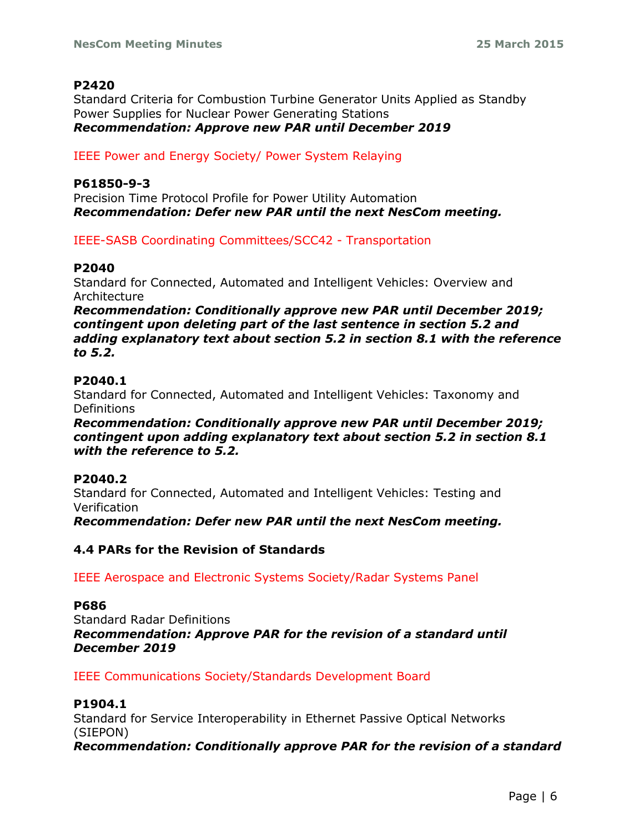## **P2420**

Standard Criteria for Combustion Turbine Generator Units Applied as Standby Power Supplies for Nuclear Power Generating Stations *Recommendation: Approve new PAR until December 2019*

## IEEE Power and Energy Society/ Power System Relaying

### **P61850-9-3**

Precision Time Protocol Profile for Power Utility Automation *Recommendation: Defer new PAR until the next NesCom meeting.*

IEEE-SASB Coordinating Committees/SCC42 - Transportation

## **P2040**

Standard for Connected, Automated and Intelligent Vehicles: Overview and Architecture

*Recommendation: Conditionally approve new PAR until December 2019; contingent upon deleting part of the last sentence in section 5.2 and adding explanatory text about section 5.2 in section 8.1 with the reference to 5.2.*

## **P2040.1**

Standard for Connected, Automated and Intelligent Vehicles: Taxonomy and **Definitions** 

*Recommendation: Conditionally approve new PAR until December 2019; contingent upon adding explanatory text about section 5.2 in section 8.1 with the reference to 5.2.*

# **P2040.2**

Standard for Connected, Automated and Intelligent Vehicles: Testing and Verification

*Recommendation: Defer new PAR until the next NesCom meeting.*

## **4.4 PARs for the Revision of Standards**

IEEE Aerospace and Electronic Systems Society/Radar Systems Panel

### **P686**

Standard Radar Definitions *Recommendation: Approve PAR for the revision of a standard until December 2019*

IEEE Communications Society/Standards Development Board

### **P1904.1**

Standard for Service Interoperability in Ethernet Passive Optical Networks (SIEPON)

*Recommendation: Conditionally approve PAR for the revision of a standard*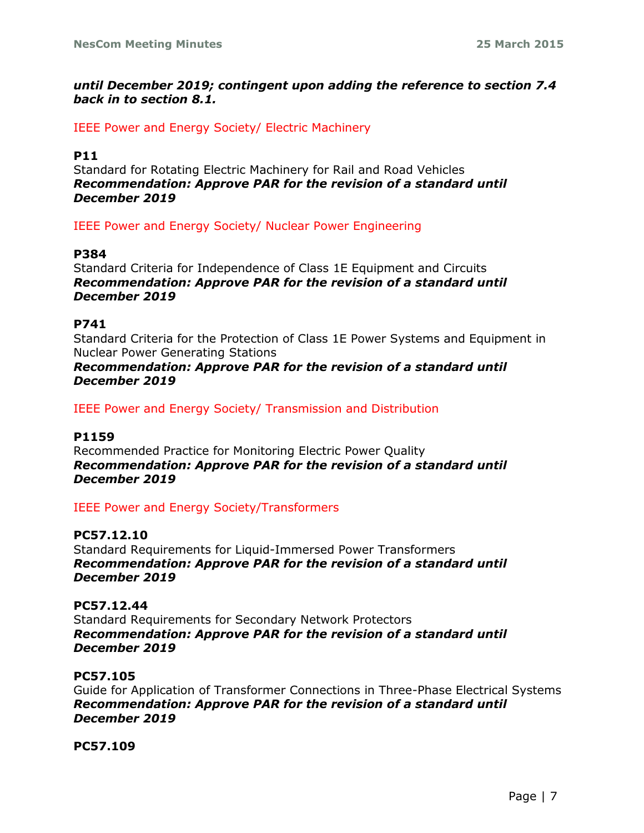# *until December 2019; contingent upon adding the reference to section 7.4 back in to section 8.1.*

IEEE Power and Energy Society/ Electric Machinery

## **P11**

Standard for Rotating Electric Machinery for Rail and Road Vehicles *Recommendation: Approve PAR for the revision of a standard until December 2019*

IEEE Power and Energy Society/ Nuclear Power Engineering

### **P384**

Standard Criteria for Independence of Class 1E Equipment and Circuits *Recommendation: Approve PAR for the revision of a standard until December 2019*

## **P741**

Standard Criteria for the Protection of Class 1E Power Systems and Equipment in Nuclear Power Generating Stations

### *Recommendation: Approve PAR for the revision of a standard until December 2019*

## IEEE Power and Energy Society/ Transmission and Distribution

### **P1159**

Recommended Practice for Monitoring Electric Power Quality *Recommendation: Approve PAR for the revision of a standard until December 2019*

### IEEE Power and Energy Society/Transformers

### **PC57.12.10**

Standard Requirements for Liquid-Immersed Power Transformers *Recommendation: Approve PAR for the revision of a standard until December 2019*

### **PC57.12.44**

Standard Requirements for Secondary Network Protectors *Recommendation: Approve PAR for the revision of a standard until December 2019*

### **PC57.105**

Guide for Application of Transformer Connections in Three-Phase Electrical Systems *Recommendation: Approve PAR for the revision of a standard until December 2019*

# **PC57.109**